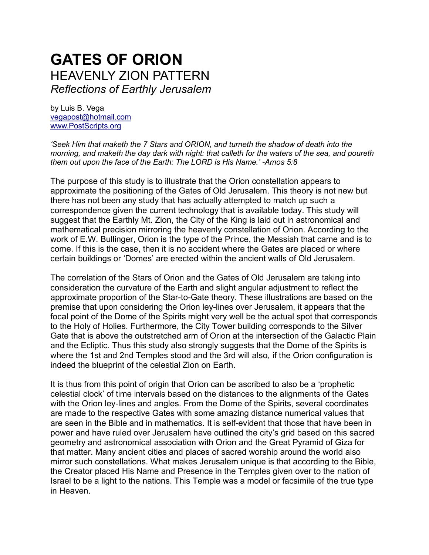# **GATES OF ORION** HEAVENLY ZION PATTERN *Reflections of Earthly Jerusalem*

by Luis B. Vega [vegapost@hotmail.com](mailto:vegapost@hotmail.com) [www.PostScripts.org](http://www.postscripts.org/)

*'Seek Him that maketh the 7 Stars and ORION, and turneth the shadow of death into the morning, and maketh the day dark with night: that calleth for the waters of the sea, and poureth them out upon the face of the Earth: The LORD is His Name.' -Amos 5:8* 

The purpose of this study is to illustrate that the Orion constellation appears to approximate the positioning of the Gates of Old Jerusalem. This theory is not new but there has not been any study that has actually attempted to match up such a correspondence given the current technology that is available today. This study will suggest that the Earthly Mt. Zion, the City of the King is laid out in astronomical and mathematical precision mirroring the heavenly constellation of Orion. According to the work of E.W. Bullinger, Orion is the type of the Prince, the Messiah that came and is to come. If this is the case, then it is no accident where the Gates are placed or where certain buildings or 'Domes' are erected within the ancient walls of Old Jerusalem.

The correlation of the Stars of Orion and the Gates of Old Jerusalem are taking into consideration the curvature of the Earth and slight angular adjustment to reflect the approximate proportion of the Star-to-Gate theory. These illustrations are based on the premise that upon considering the Orion ley-lines over Jerusalem, it appears that the focal point of the Dome of the Spirits might very well be the actual spot that corresponds to the Holy of Holies. Furthermore, the City Tower building corresponds to the Silver Gate that is above the outstretched arm of Orion at the intersection of the Galactic Plain and the Ecliptic. Thus this study also strongly suggests that the Dome of the Spirits is where the 1st and 2nd Temples stood and the 3rd will also, if the Orion configuration is indeed the blueprint of the celestial Zion on Earth.

It is thus from this point of origin that Orion can be ascribed to also be a 'prophetic celestial clock' of time intervals based on the distances to the alignments of the Gates with the Orion ley-lines and angles. From the Dome of the Spirits, several coordinates are made to the respective Gates with some amazing distance numerical values that are seen in the Bible and in mathematics. It is self-evident that those that have been in power and have ruled over Jerusalem have outlined the city's grid based on this sacred geometry and astronomical association with Orion and the Great Pyramid of Giza for that matter. Many ancient cities and places of sacred worship around the world also mirror such constellations. What makes Jerusalem unique is that according to the Bible, the Creator placed His Name and Presence in the Temples given over to the nation of Israel to be a light to the nations. This Temple was a model or facsimile of the true type in Heaven.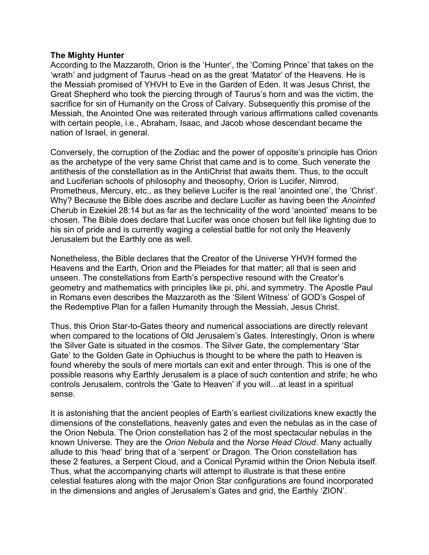## **The Mighty Hunter**

According to the Mazzaroth, Orion is the 'Hunter', the 'Coming Prince' that takes on the 'wrath' and judgment of Taurus -head on as the great 'Matator' of the Heavens. He is the Messiah promised of YHVH to Eve in the Garden of Eden. It was Jesus Christ, the Great Shepherd who took the piercing through of Taurus's horn and was the victim, the sacrifice for sin of Humanity on the Cross of Calvary. Subsequently this promise of the Messiah, the Anointed One was reiterated through various affirmations called covenants with certain people, i.e., Abraham, Isaac, and Jacob whose descendant became the nation of Israel, in general.

Conversely, the corruption of the Zodiac and the power of opposite's principle has Orion as the archetype of the very same Christ that came and is to come. Such venerate the antithesis of the constellation as in the AntiChrist that awaits them. Thus, to the occult and Luciferian schools of philosophy and theosophy, Orion is Lucifer, Nimrod, Prometheus, Mercury, etc., as they believe Lucifer is the real 'anointed one', the 'Christ'. Why? Because the Bible does ascribe and declare Lucifer as having been the *Anointed*  Cherub in Ezekiel 28:14 but as far as the technicality of the word 'anointed' means to be chosen. The Bible does declare that Lucifer was once chosen but fell like lighting due to his sin of pride and is currently waging a celestial battle for not only the Heavenly Jerusalem but the Earthly one as well.

Nonetheless, the Bible declares that the Creator of the Universe YHVH formed the Heavens and the Earth, Orion and the Pleiades for that matter; all that is seen and unseen. The constellations from Earth's perspective resound with the Creator's geometry and mathematics with principles like pi, phi, and symmetry. The Apostle Paul in Romans even describes the Mazzaroth as the 'Silent Witness' of GOD's Gospel of the Redemptive Plan for a fallen Humanity through the Messiah, Jesus Christ.

Thus, this Orion Star-to-Gates theory and numerical associations are directly relevant when compared to the locations of Old Jerusalem's Gates. Interestingly, Orion is where the Silver Gate is situated in the cosmos. The Silver Gate, the complementary 'Star Gate' to the Golden Gate in Ophiuchus is thought to be where the path to Heaven is found whereby the souls of mere mortals can exit and enter through. This is one of the possible reasons why Earthly Jerusalem is a place of such contention and strife; he who controls Jerusalem, controls the 'Gate to Heaven' if you will…at least in a spiritual sense.

It is astonishing that the ancient peoples of Earth's earliest civilizations knew exactly the dimensions of the constellations, heavenly gates and even the nebulas as in the case of the Orion Nebula. The Orion constellation has 2 of the most spectacular nebulas in the known Universe. They are the *Orion Nebula* and the *Norse Head Cloud*. Many actually allude to this 'head' bring that of a 'serpent' or Dragon. The Orion constellation has these 2 features, a Serpent Cloud, and a Conical Pyramid within the Orion Nebula itself. Thus, what the accompanying charts will attempt to illustrate is that these entire celestial features along with the major Orion Star configurations are found incorporated in the dimensions and angles of Jerusalem's Gates and grid, the Earthly 'ZION'.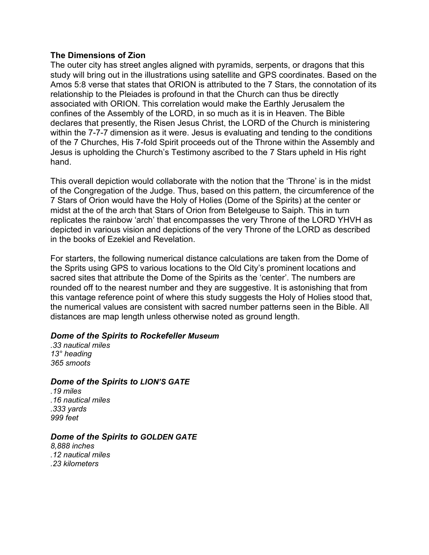#### **The Dimensions of Zion**

The outer city has street angles aligned with pyramids, serpents, or dragons that this study will bring out in the illustrations using satellite and GPS coordinates. Based on the Amos 5:8 verse that states that ORION is attributed to the 7 Stars, the connotation of its relationship to the Pleiades is profound in that the Church can thus be directly associated with ORION. This correlation would make the Earthly Jerusalem the confines of the Assembly of the LORD, in so much as it is in Heaven. The Bible declares that presently, the Risen Jesus Christ, the LORD of the Church is ministering within the 7-7-7 dimension as it were. Jesus is evaluating and tending to the conditions of the 7 Churches, His 7-fold Spirit proceeds out of the Throne within the Assembly and Jesus is upholding the Church's Testimony ascribed to the 7 Stars upheld in His right hand.

This overall depiction would collaborate with the notion that the 'Throne' is in the midst of the Congregation of the Judge. Thus, based on this pattern, the circumference of the 7 Stars of Orion would have the Holy of Holies (Dome of the Spirits) at the center or midst at the of the arch that Stars of Orion from Betelgeuse to Saiph. This in turn replicates the rainbow 'arch' that encompasses the very Throne of the LORD YHVH as depicted in various vision and depictions of the very Throne of the LORD as described in the books of Ezekiel and Revelation.

For starters, the following numerical distance calculations are taken from the Dome of the Sprits using GPS to various locations to the Old City's prominent locations and sacred sites that attribute the Dome of the Spirits as the 'center'. The numbers are rounded off to the nearest number and they are suggestive. It is astonishing that from this vantage reference point of where this study suggests the Holy of Holies stood that, the numerical values are consistent with sacred number patterns seen in the Bible. All distances are map length unless otherwise noted as ground length.

#### *Dome of the Spirits to Rockefeller Museum*

*.33 nautical miles 13° heading 365 smoots*

#### *Dome of the Spirits to LION'S GATE*

*.19 miles .16 nautical miles .333 yards 999 feet*

## *Dome of the Spirits to GOLDEN GATE*

*8,888 inches .12 nautical miles .23 kilometers*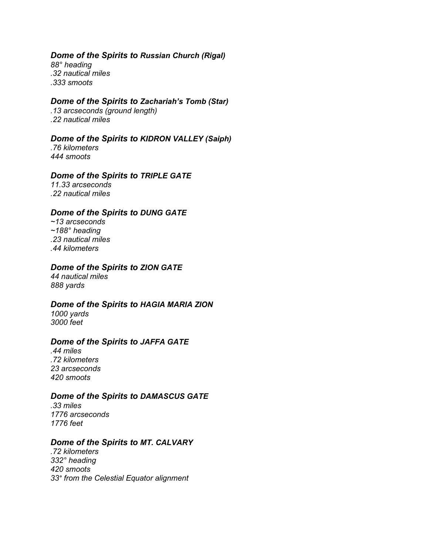## *Dome of the Spirits to Russian Church (Rigal)*

*88° heading .32 nautical miles .333 smoots*

### *Dome of the Spirits to Zachariah's Tomb (Star)*

*.13 arcseconds (ground length) .22 nautical miles*

## *Dome of the Spirits to KIDRON VALLEY (Saiph)*

*.76 kilometers 444 smoots*

## *Dome of the Spirits to TRIPLE GATE*

*11.33 arcseconds .22 nautical miles*

## *Dome of the Spirits to DUNG GATE*

*~13 arcseconds ~188° heading .23 nautical miles .44 kilometers*

## *Dome of the Spirits to ZION GATE*

*44 nautical miles 888 yards*

## *Dome of the Spirits to HAGIA MARIA ZION*

*1000 yards 3000 feet*

#### *Dome of the Spirits to JAFFA GATE*

*.44 miles .72 kilometers 23 arcseconds 420 smoots*

## *Dome of the Spirits to DAMASCUS GATE*

*.33 miles 1776 arcseconds 1776 feet*

#### *Dome of the Spirits to MT. CALVARY*

*.72 kilometers 332° heading 420 smoots 33° from the Celestial Equator alignment*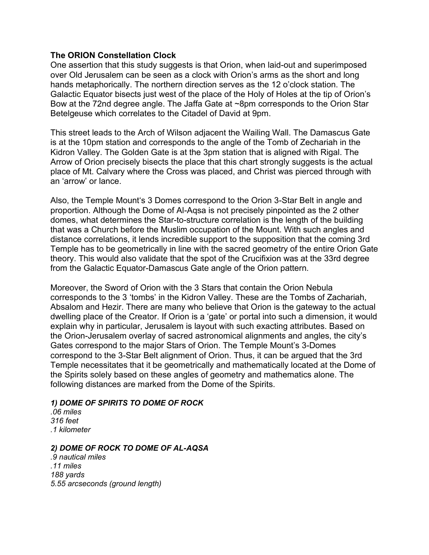## **The ORION Constellation Clock**

One assertion that this study suggests is that Orion, when laid-out and superimposed over Old Jerusalem can be seen as a clock with Orion's arms as the short and long hands metaphorically. The northern direction serves as the 12 o'clock station. The Galactic Equator bisects just west of the place of the Holy of Holes at the tip of Orion's Bow at the 72nd degree angle. The Jaffa Gate at ~8pm corresponds to the Orion Star Betelgeuse which correlates to the Citadel of David at 9pm.

This street leads to the Arch of Wilson adjacent the Wailing Wall. The Damascus Gate is at the 10pm station and corresponds to the angle of the Tomb of Zechariah in the Kidron Valley. The Golden Gate is at the 3pm station that is aligned with Rigal. The Arrow of Orion precisely bisects the place that this chart strongly suggests is the actual place of Mt. Calvary where the Cross was placed, and Christ was pierced through with an 'arrow' or lance.

Also, the Temple Mount's 3 Domes correspond to the Orion 3-Star Belt in angle and proportion. Although the Dome of Al-Aqsa is not precisely pinpointed as the 2 other domes, what determines the Star-to-structure correlation is the length of the building that was a Church before the Muslim occupation of the Mount. With such angles and distance correlations, it lends incredible support to the supposition that the coming 3rd Temple has to be geometrically in line with the sacred geometry of the entire Orion Gate theory. This would also validate that the spot of the Crucifixion was at the 33rd degree from the Galactic Equator-Damascus Gate angle of the Orion pattern.

Moreover, the Sword of Orion with the 3 Stars that contain the Orion Nebula corresponds to the 3 'tombs' in the Kidron Valley. These are the Tombs of Zachariah, Absalom and Hezir. There are many who believe that Orion is the gateway to the actual dwelling place of the Creator. If Orion is a 'gate' or portal into such a dimension, it would explain why in particular, Jerusalem is layout with such exacting attributes. Based on the Orion-Jerusalem overlay of sacred astronomical alignments and angles, the city's Gates correspond to the major Stars of Orion. The Temple Mount's 3-Domes correspond to the 3-Star Belt alignment of Orion. Thus, it can be argued that the 3rd Temple necessitates that it be geometrically and mathematically located at the Dome of the Spirits solely based on these angles of geometry and mathematics alone. The following distances are marked from the Dome of the Spirits.

## *1) DOME OF SPIRITS TO DOME OF ROCK*

*.06 miles 316 feet .1 kilometer*

#### *2) DOME OF ROCK TO DOME OF AL-AQSA*

*.9 nautical miles .11 miles 188 yards 5.55 arcseconds (ground length)*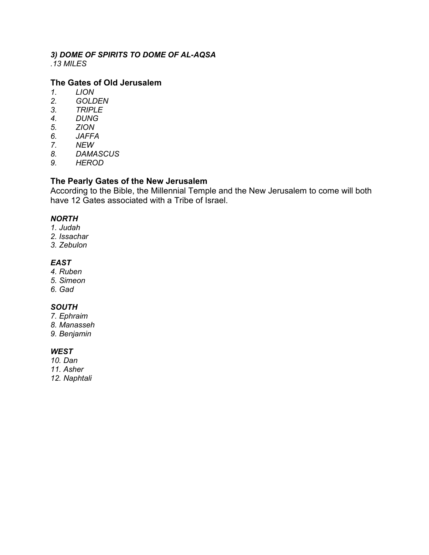#### *3) DOME OF SPIRITS TO DOME OF AL-AQSA .13 MILES*

## **The Gates of Old Jerusalem**

- *1. LION*
- *2. GOLDEN*
- *3. TRIPLE*
- *4. DUNG*
- *5. ZION*
- *6. JAFFA*
- *7. NEW*
- *8. DAMASCUS*
- *9. HEROD*

## **The Pearly Gates of the New Jerusalem**

According to the Bible, the Millennial Temple and the New Jerusalem to come will both have 12 Gates associated with a Tribe of Israel.

### *NORTH*

- *1. Judah*
- *2. Issachar*
- *3. Zebulon*

## *EAST*

- *4. Ruben*
- *5. Simeon*
- *6. Gad*

## *SOUTH*

- *7. Ephraim*
- *8. Manasseh*
- *9. Benjamin*

## *WEST*

- *10. Dan*
- *11. Asher*
- *12. Naphtali*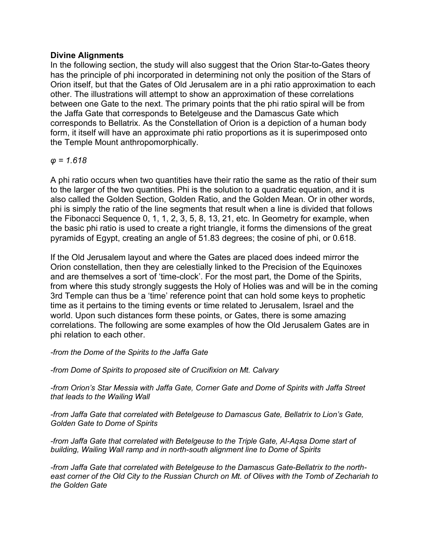## **Divine Alignments**

In the following section, the study will also suggest that the Orion Star-to-Gates theory has the principle of phi incorporated in determining not only the position of the Stars of Orion itself, but that the Gates of Old Jerusalem are in a phi ratio approximation to each other. The illustrations will attempt to show an approximation of these correlations between one Gate to the next. The primary points that the phi ratio spiral will be from the Jaffa Gate that corresponds to Betelgeuse and the Damascus Gate which corresponds to Bellatrix. As the Constellation of Orion is a depiction of a human body form, it itself will have an approximate phi ratio proportions as it is superimposed onto the Temple Mount anthropomorphically.

## *φ = 1.618*

A phi ratio occurs when two quantities have their ratio the same as the ratio of their sum to the larger of the two quantities. Phi is the solution to a quadratic equation, and it is also called the Golden Section, Golden Ratio, and the Golden Mean. Or in other words, phi is simply the ratio of the line segments that result when a line is divided that follows the Fibonacci Sequence 0, 1, 1, 2, 3, 5, 8, 13, 21, etc. In Geometry for example, when the basic phi ratio is used to create a right triangle, it forms the dimensions of the great pyramids of Egypt, creating an angle of 51.83 degrees; the cosine of phi, or 0.618.

If the Old Jerusalem layout and where the Gates are placed does indeed mirror the Orion constellation, then they are celestially linked to the Precision of the Equinoxes and are themselves a sort of 'time-clock'. For the most part, the Dome of the Spirits, from where this study strongly suggests the Holy of Holies was and will be in the coming 3rd Temple can thus be a 'time' reference point that can hold some keys to prophetic time as it pertains to the timing events or time related to Jerusalem, Israel and the world. Upon such distances form these points, or Gates, there is some amazing correlations. The following are some examples of how the Old Jerusalem Gates are in phi relation to each other.

*-from the Dome of the Spirits to the Jaffa Gate*

*-from Dome of Spirits to proposed site of Crucifixion on Mt. Calvary*

*-from Orion's Star Messia with Jaffa Gate, Corner Gate and Dome of Spirits with Jaffa Street that leads to the Wailing Wall*

*-from Jaffa Gate that correlated with Betelgeuse to Damascus Gate, Bellatrix to Lion's Gate, Golden Gate to Dome of Spirits*

*-from Jaffa Gate that correlated with Betelgeuse to the Triple Gate, Al-Aqsa Dome start of building, Wailing Wall ramp and in north-south alignment line to Dome of Spirits*

*-from Jaffa Gate that correlated with Betelgeuse to the Damascus Gate-Bellatrix to the northeast corner of the Old City to the Russian Church on Mt. of Olives with the Tomb of Zechariah to the Golden Gate*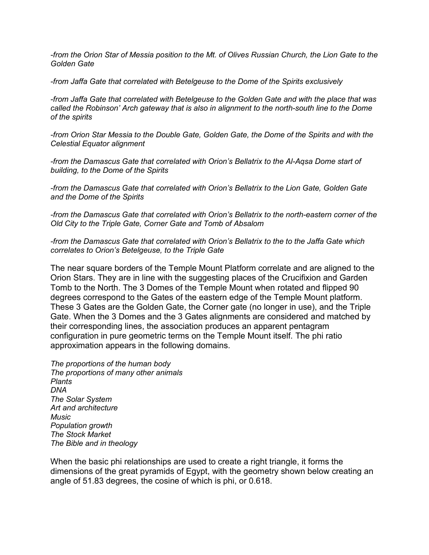*-from the Orion Star of Messia position to the Mt. of Olives Russian Church, the Lion Gate to the Golden Gate*

*-from Jaffa Gate that correlated with Betelgeuse to the Dome of the Spirits exclusively*

*-from Jaffa Gate that correlated with Betelgeuse to the Golden Gate and with the place that was called the Robinson' Arch gateway that is also in alignment to the north-south line to the Dome of the spirits*

*-from Orion Star Messia to the Double Gate, Golden Gate, the Dome of the Spirits and with the Celestial Equator alignment*

*-from the Damascus Gate that correlated with Orion's Bellatrix to the Al-Aqsa Dome start of building, to the Dome of the Spirits*

*-from the Damascus Gate that correlated with Orion's Bellatrix to the Lion Gate, Golden Gate and the Dome of the Spirits*

*-from the Damascus Gate that correlated with Orion's Bellatrix to the north-eastern corner of the Old City to the Triple Gate, Corner Gate and Tomb of Absalom*

*-from the Damascus Gate that correlated with Orion's Bellatrix to the to the Jaffa Gate which correlates to Orion's Betelgeuse, to the Triple Gate*

The near square borders of the Temple Mount Platform correlate and are aligned to the Orion Stars. They are in line with the suggesting places of the Crucifixion and Garden Tomb to the North. The 3 Domes of the Temple Mount when rotated and flipped 90 degrees correspond to the Gates of the eastern edge of the Temple Mount platform. These 3 Gates are the Golden Gate, the Corner gate (no longer in use), and the Triple Gate. When the 3 Domes and the 3 Gates alignments are considered and matched by their corresponding lines, the association produces an apparent pentagram configuration in pure geometric terms on the Temple Mount itself. The phi ratio approximation appears in the following domains.

*The proportions of the human body The proportions of many other animals Plants DNA The Solar System Art and architecture Music Population growth The Stock Market The Bible and in theology*

When the basic phi relationships are used to create a right triangle, it forms the dimensions of the great pyramids of Egypt, with the geometry shown below creating an angle of 51.83 degrees, the cosine of which is phi, or 0.618.